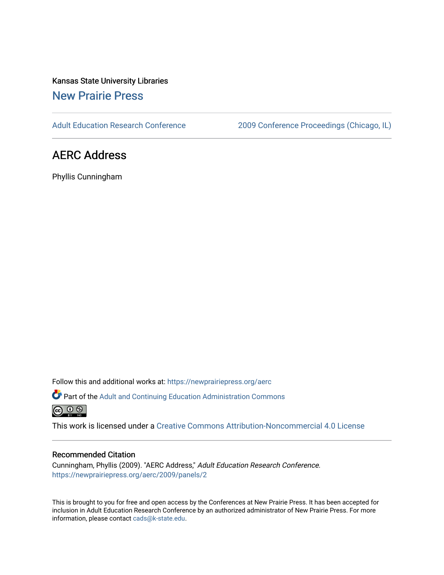Kansas State University Libraries [New Prairie Press](https://newprairiepress.org/) 

[Adult Education Research Conference](https://newprairiepress.org/aerc) [2009 Conference Proceedings \(Chicago, IL\)](https://newprairiepress.org/aerc/2009) 

## AERC Address

Phyllis Cunningham

Follow this and additional works at: [https://newprairiepress.org/aerc](https://newprairiepress.org/aerc?utm_source=newprairiepress.org%2Faerc%2F2009%2Fpanels%2F2&utm_medium=PDF&utm_campaign=PDFCoverPages)

Part of the [Adult and Continuing Education Administration Commons](http://network.bepress.com/hgg/discipline/789?utm_source=newprairiepress.org%2Faerc%2F2009%2Fpanels%2F2&utm_medium=PDF&utm_campaign=PDFCoverPages)  $\circledcirc$ 

This work is licensed under a [Creative Commons Attribution-Noncommercial 4.0 License](https://creativecommons.org/licenses/by-nc/4.0/)

## Recommended Citation

Cunningham, Phyllis (2009). "AERC Address," Adult Education Research Conference. <https://newprairiepress.org/aerc/2009/panels/2>

This is brought to you for free and open access by the Conferences at New Prairie Press. It has been accepted for inclusion in Adult Education Research Conference by an authorized administrator of New Prairie Press. For more information, please contact [cads@k-state.edu](mailto:cads@k-state.edu).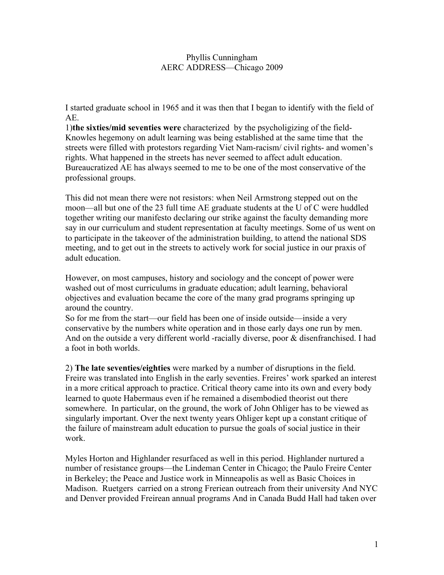## Phyllis Cunningham AERC ADDRESS—Chicago 2009

I started graduate school in 1965 and it was then that I began to identify with the field of AE.

1)**the sixties/mid seventies were** characterized by the psycholigizing of the field-Knowles hegemony on adult learning was being established at the same time that the streets were filled with protestors regarding Viet Nam-racism/ civil rights- and women's rights. What happened in the streets has never seemed to affect adult education. Bureaucratized AE has always seemed to me to be one of the most conservative of the professional groups.

This did not mean there were not resistors: when Neil Armstrong stepped out on the moon—all but one of the 23 full time AE graduate students at the U of C were huddled together writing our manifesto declaring our strike against the faculty demanding more say in our curriculum and student representation at faculty meetings. Some of us went on to participate in the takeover of the administration building, to attend the national SDS meeting, and to get out in the streets to actively work for social justice in our praxis of adult education.

However, on most campuses, history and sociology and the concept of power were washed out of most curriculums in graduate education; adult learning, behavioral objectives and evaluation became the core of the many grad programs springing up around the country.

So for me from the start—our field has been one of inside outside—inside a very conservative by the numbers white operation and in those early days one run by men. And on the outside a very different world -racially diverse, poor & disenfranchised. I had a foot in both worlds.

2) **The late seventies/eighties** were marked by a number of disruptions in the field. Freire was translated into English in the early seventies. Freires' work sparked an interest in a more critical approach to practice. Critical theory came into its own and every body learned to quote Habermaus even if he remained a disembodied theorist out there somewhere. In particular, on the ground, the work of John Ohliger has to be viewed as singularly important. Over the next twenty years Ohliger kept up a constant critique of the failure of mainstream adult education to pursue the goals of social justice in their work.

Myles Horton and Highlander resurfaced as well in this period. Highlander nurtured a number of resistance groups—the Lindeman Center in Chicago; the Paulo Freire Center in Berkeley; the Peace and Justice work in Minneapolis as well as Basic Choices in Madison. Ruetgers carried on a strong Freriean outreach from their university And NYC and Denver provided Freirean annual programs And in Canada Budd Hall had taken over